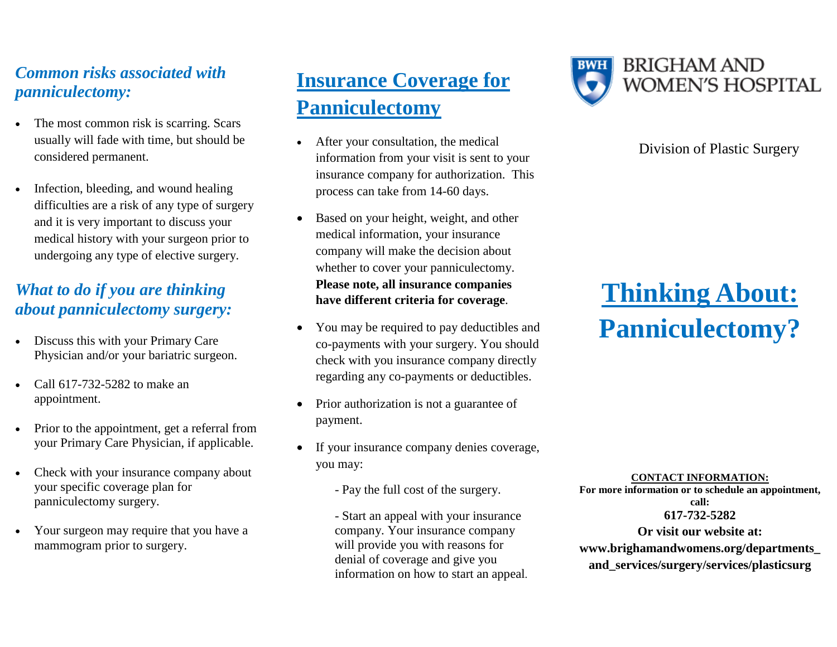#### *Common risks associated with panniculectomy:*

- The most common risk is scarring. Scars usually will fade with time, but should be considered permanent.
- Infection, bleeding, and wound healing difficulties are a risk of any type of surgery and it is very important to discuss your medical history with your surgeon prior to undergoing any type of elective surgery.

#### *What to do if you are thinking about panniculectomy surgery:*

- Discuss this with your Primary Care Physician and/or your bariatric surgeon.
- Call 617-732-5282 to make an appointment.
- Prior to the appointment, get a referral from your Primary Care Physician, if applicable.
- Check with your insurance company about your specific coverage plan for panniculectomy surgery.
- Your surgeon may require that you have a mammogram prior to surgery.

# **Insurance Coverage for Panniculectomy**

- After your consultation, the medical information from your visit is sent to your insurance company for authorization. This process can take from 14-60 days.
- Based on your height, weight, and other medical information, your insurance company will make the decision about whether to cover your panniculectomy. **Please note, all insurance companies have different criteria for coverage**.
- You may be required to pay deductibles and co-payments with your surgery. You should check with you insurance company directly regarding any co-payments or deductibles.
- Prior authorization is not a guarantee of payment.
- If your insurance company denies coverage, you may:
	- Pay the full cost of the surgery.

- Start an appeal with your insurance company. Your insurance company will provide you with reasons for denial of coverage and give you information on how to start an appeal.



#### Division of Plastic Surgery

# **Thinking About: Panniculectomy?**

#### **CONTACT INFORMATION:**

**For more information or to schedule an appointment, call: 617-732-5282 Or visit our website at: www.brighamandwomens.org/departments\_ and\_services/surgery/services/plasticsurg**